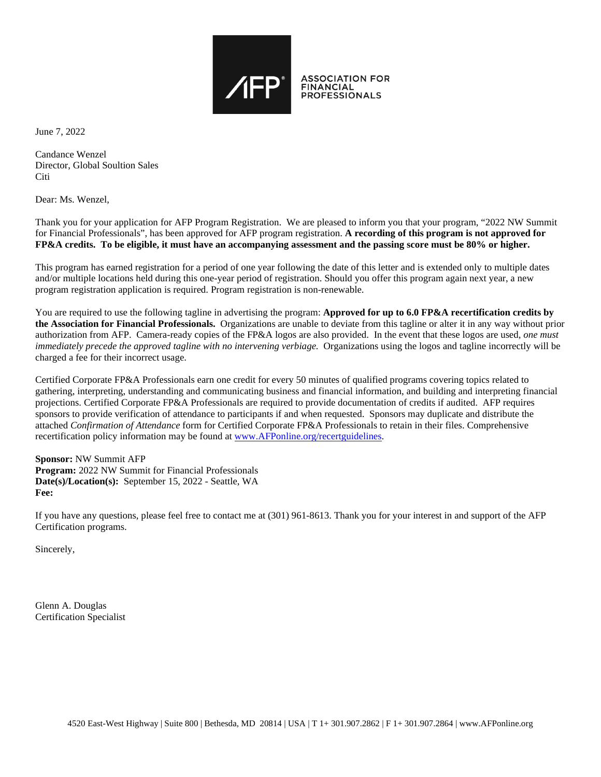

June 7, 2022

Candance Wenzel Director, Global Soultion Sales **Citi** 

Dear: Ms. Wenzel,

Thank you for your application for AFP Program Registration. We are pleased to inform you that your program, "2022 NW Summit for Financial Professionals", has been approved for AFP program registration. **A recording of this program is not approved for FP&A credits. To be eligible, it must have an accompanying assessment and the passing score must be 80% or higher.**

This program has earned registration for a period of one year following the date of this letter and is extended only to multiple dates and/or multiple locations held during this one-year period of registration. Should you offer this program again next year, a new program registration application is required. Program registration is non-renewable.

You are required to use the following tagline in advertising the program: **Approved for up to 6.0 FP&A recertification credits by the Association for Financial Professionals.** Organizations are unable to deviate from this tagline or alter it in any way without prior authorization from AFP. Camera-ready copies of the FP&A logos are also provided. In the event that these logos are used*, one must immediately precede the approved tagline with no intervening verbiage.* Organizations using the logos and tagline incorrectly will be charged a fee for their incorrect usage.

Certified Corporate FP&A Professionals earn one credit for every 50 minutes of qualified programs covering topics related to gathering, interpreting, understanding and communicating business and financial information, and building and interpreting financial projections. Certified Corporate FP&A Professionals are required to provide documentation of credits if audited. AFP requires sponsors to provide verification of attendance to participants if and when requested. Sponsors may duplicate and distribute the attached *Confirmation of Attendance* form for Certified Corporate FP&A Professionals to retain in their files. Comprehensive recertification policy information may be found at [www.AFPonline.org/recertguidelines.](http://www.afponline.org/recertguidelines)

**Sponsor:** NW Summit AFP **Program:** 2022 NW Summit for Financial Professionals **Date(s)/Location(s):** September 15, 2022 - Seattle, WA **Fee:**

If you have any questions, please feel free to contact me at (301) 961-8613. Thank you for your interest in and support of the AFP Certification programs.

Sincerely,

Glenn A. Douglas Certification Specialist